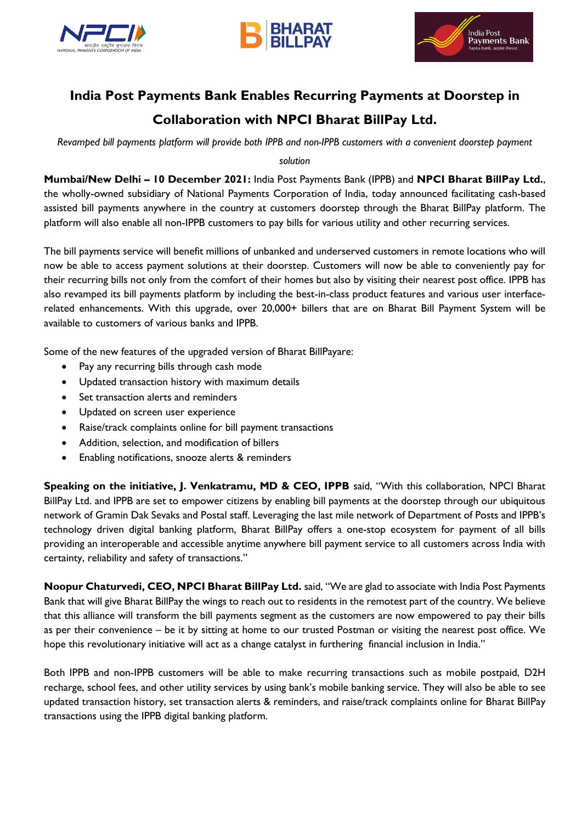





## **India Post Payments Bank Enables Recurring Payments at Doorstep in Collaboration with NPCI Bharat BillPay Ltd.**

*Revamped bill payments platform will provide both IPPB and non-IPPB customers with a convenient doorstep payment* 

*solution*

**Mumbai/New Delhi – 10 December 2021:** India Post Payments Bank (IPPB) and **NPCI Bharat BillPay Ltd.**, the wholly-owned subsidiary of National Payments Corporation of India, today announced facilitating cash-based assisted bill payments anywhere in the country at customers doorstep through the Bharat BillPay platform. The platform will also enable all non-IPPB customers to pay bills for various utility and other recurring services.

The bill payments service will benefit millions of unbanked and underserved customers in remote locations who will now be able to access payment solutions at their doorstep. Customers will now be able to conveniently pay for their recurring bills not only from the comfort of their homes but also by visiting their nearest post office. IPPB has also revamped its bill payments platform by including the best-in-class product features and various user interfacerelated enhancements. With this upgrade, over 20,000+ billers that are on Bharat Bill Payment System will be available to customers of various banks and IPPB.

Some of the new features of the upgraded version of Bharat BillPayare:

- Pay any recurring bills through cash mode
- Updated transaction history with maximum details
- Set transaction alerts and reminders
- Updated on screen user experience
- Raise/track complaints online for bill payment transactions
- Addition, selection, and modification of billers
- **•** Enabling notifications, snooze alerts & reminders

**Speaking on the initiative, J. Venkatramu, MD & CEO, IPPB** said, "With this collaboration, NPCI Bharat BillPay Ltd. and IPPB are set to empower citizens by enabling bill payments at the doorstep through our ubiquitous network of Gramin Dak Sevaks and Postal staff. Leveraging the last mile network of Department of Posts and IPPB's technology driven digital banking platform, Bharat BillPay offers a one-stop ecosystem for payment of all bills providing an interoperable and accessible anytime anywhere bill payment service to all customers across India with certainty, reliability and safety of transactions."

**Noopur Chaturvedi, CEO, NPCI Bharat BillPay Ltd.** said, "We are glad to associate with India Post Payments Bank that will give Bharat BillPay the wings to reach out to residents in the remotest part of the country. We believe that this alliance will transform the bill payments segment as the customers are now empowered to pay their bills as per their convenience – be it by sitting at home to our trusted Postman or visiting the nearest post office. We hope this revolutionary initiative will act as a change catalyst in furthering financial inclusion in India."

Both IPPB and non-IPPB customers will be able to make recurring transactions such as mobile postpaid, D2H recharge, school fees, and other utility services by using bank's mobile banking service. They will also be able to see updated transaction history, set transaction alerts & reminders, and raise/track complaints online for Bharat BillPay transactions using the IPPB digital banking platform.